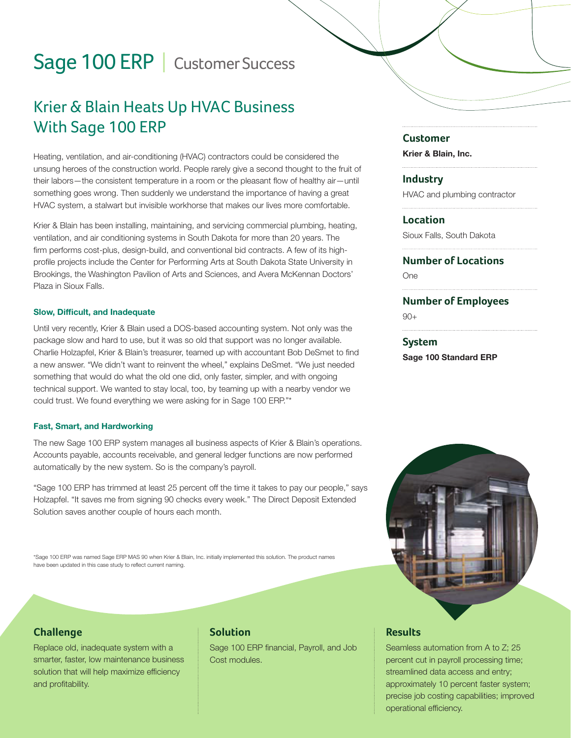# Sage 100 ERP | Customer Success

# Krier & Blain Heats Up HVAC Business With Sage 100 ERP

Heating, ventilation, and air-conditioning (HVAC) contractors could be considered the unsung heroes of the construction world. People rarely give a second thought to the fruit of their labors—the consistent temperature in a room or the pleasant flow of healthy air—until something goes wrong. Then suddenly we understand the importance of having a great HVAC system, a stalwart but invisible workhorse that makes our lives more comfortable.

Krier & Blain has been installing, maintaining, and servicing commercial plumbing, heating, ventilation, and air conditioning systems in South Dakota for more than 20 years. The firm performs cost-plus, design-build, and conventional bid contracts. A few of its highprofile projects include the Center for Performing Arts at South Dakota State University in Brookings, the Washington Pavilion of Arts and Sciences, and Avera McKennan Doctors' Plaza in Sioux Falls.

#### Slow, Difficult, and Inadequate

Until very recently, Krier & Blain used a DOS-based accounting system. Not only was the package slow and hard to use, but it was so old that support was no longer available. Charlie Holzapfel, Krier & Blain's treasurer, teamed up with accountant Bob DeSmet to find a new answer. "We didn't want to reinvent the wheel," explains DeSmet. "We just needed something that would do what the old one did, only faster, simpler, and with ongoing technical support. We wanted to stay local, too, by teaming up with a nearby vendor we could trust. We found everything we were asking for in Sage 100 ERP."\*

#### Fast, Smart, and Hardworking

The new Sage 100 ERP system manages all business aspects of Krier & Blain's operations. Accounts payable, accounts receivable, and general ledger functions are now performed automatically by the new system. So is the company's payroll.

"Sage 100 ERP has trimmed at least 25 percent off the time it takes to pay our people," says Holzapfel. "It saves me from signing 90 checks every week." The Direct Deposit Extended Solution saves another couple of hours each month.

\*Sage 100 ERP was named Sage ERP MAS 90 when Krier & Blain, Inc. initially implemented this solution. The product names have been updated in this case study to reflect current naming.

#### **Challenge**

Replace old, inadequate system with a smarter, faster, low maintenance business solution that will help maximize efficiency and profitability.

#### **Solution**

Sage 100 ERP financial, Payroll, and Job Cost modules.

#### **Customer**

Krier & Blain, Inc.

#### **Industry**

HVAC and plumbing contractor

**Location**

Sioux Falls, South Dakota

### **Number of Locations**

One

#### **Number of Employees**

 $90+$ 

### **System** Sage 100 Standard ERP



#### **Results**

Seamless automation from A to Z; 25 percent cut in payroll processing time; streamlined data access and entry; approximately 10 percent faster system; precise job costing capabilities; improved operational efficiency.